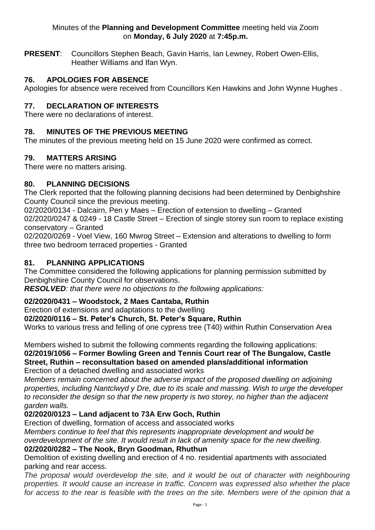#### Minutes of the **Planning and Development Committee** meeting held via Zoom on **Monday, 6 July 2020** at **7:45p.m.**

**PRESENT**: Councillors Stephen Beach, Gavin Harris, Ian Lewney, Robert Owen-Ellis, Heather Williams and Ifan Wyn.

## **76. APOLOGIES FOR ABSENCE**

Apologies for absence were received from Councillors Ken Hawkins and John Wynne Hughes .

## **77. DECLARATION OF INTERESTS**

There were no declarations of interest.

#### **78. MINUTES OF THE PREVIOUS MEETING**

The minutes of the previous meeting held on 15 June 2020 were confirmed as correct.

### **79. MATTERS ARISING**

There were no matters arising.

### **80. PLANNING DECISIONS**

The Clerk reported that the following planning decisions had been determined by Denbighshire County Council since the previous meeting.

02/2020/0134 - Dalcairn, Pen y Maes – Erection of extension to dwelling – Granted 02/2020/0247 & 0249 - 18 Castle Street – Erection of single storey sun room to replace existing conservatory – Granted

02/2020/0269 - Voel View, 160 Mwrog Street – Extension and alterations to dwelling to form three two bedroom terraced properties - Granted

#### **81. PLANNING APPLICATIONS**

The Committee considered the following applications for planning permission submitted by Denbighshire County Council for observations.

*RESOLVED: that there were no objections to the following applications:* 

### **02/2020/0431 – Woodstock, 2 Maes Cantaba, Ruthin**

Erection of extensions and adaptations to the dwelling

#### **02/2020/0116 – St. Peter's Church, St. Peter's Square, Ruthin**

Works to various tress and felling of one cypress tree (T40) within Ruthin Conservation Area

Members wished to submit the following comments regarding the following applications: **02/2019/1056 – Former Bowling Green and Tennis Court rear of The Bungalow, Castle Street, Ruthin – reconsultation based on amended plans/additional information** Erection of a detached dwelling and associated works

*Members remain concerned about the adverse impact of the proposed dwelling on adjoining properties, including Nantclwyd y Dre, due to its scale and massing. Wish to urge the developer to reconsider the design so that the new property is two storey, no higher than the adjacent garden walls.*

# **02/2020/0123 – Land adjacent to 73A Erw Goch, Ruthin**

Erection of dwelling, formation of access and associated works

*Members continue to feel that this represents inappropriate development and would be overdevelopment of the site. It would result in lack of amenity space for the new dwelling.*  **02/2020/0282 – The Nook, Bryn Goodman, Rhuthun**

Demolition of existing dwelling and erection of 4 no. residential apartments with associated parking and rear access.

*The proposal would overdevelop the site, and it would be out of character with neighbouring properties. It would cause an increase in traffic. Concern was expressed also whether the place*  for access to the rear is feasible with the trees on the site. Members were of the opinion that a